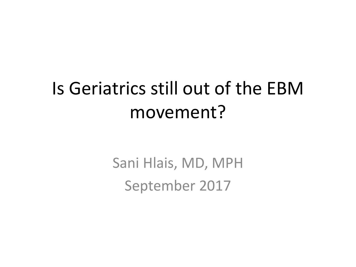#### Is Geriatrics still out of the EBM movement?

Sani Hlais, MD, MPH September 2017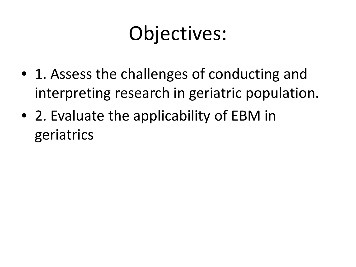## Objectives:

- 1. Assess the challenges of conducting and interpreting research in geriatric population.
- 2. Evaluate the applicability of EBM in geriatrics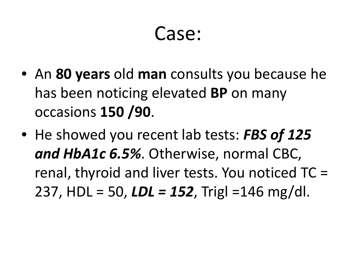#### Case:

- An **80 years** old **man** consults you because he has been noticing elevated **BP** on many occasions **150 /90**.
- He showed you recent lab tests: *FBS of 125 and HbA1c 6.5%*. Otherwise, normal CBC, renal, thyroid and liver tests. You noticed TC = 237, HDL = 50, *LDL = 152*, Trigl =146 mg/dl.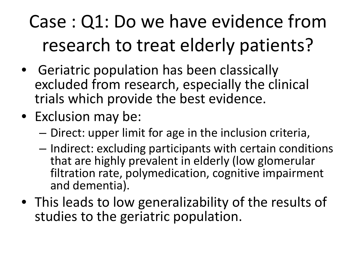### Case : Q1: Do we have evidence from research to treat elderly patients?

- Geriatric population has been classically excluded from research, especially the clinical trials which provide the best evidence.
- Exclusion may be:
	- Direct: upper limit for age in the inclusion criteria,
	- Indirect: excluding participants with certain conditions that are highly prevalent in elderly (low glomerular filtration rate, polymedication, cognitive impairment and dementia).
- This leads to low generalizability of the results of studies to the geriatric population.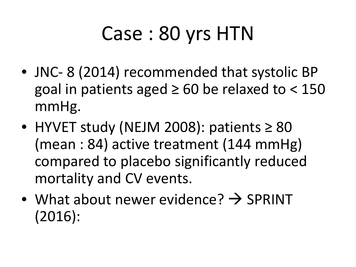# Case : 80 yrs HTN

- JNC-8 (2014) recommended that systolic BP goal in patients aged  $\geq 60$  be relaxed to < 150 mmHg.
- HYVET study (NEJM 2008): patients ≥ 80 (mean : 84) active treatment (144 mmHg) compared to placebo significantly reduced mortality and CV events.
- What about newer evidence?  $\rightarrow$  SPRINT (2016):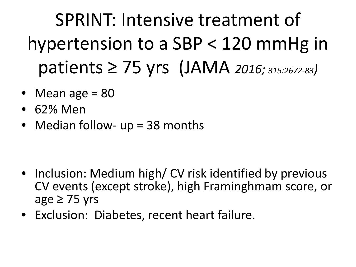SPRINT: Intensive treatment of hypertension to a SBP < 120 mmHg in patients ≥ 75 yrs (JAMA *2016; 315:2672-83)*

- Mean age  $= 80$
- 62% Men
- Median follow- up = 38 months

- Inclusion: Medium high/ CV risk identified by previous CV events (except stroke), high Framinghmam score, or age  $\geq$  75 yrs
- Exclusion: Diabetes, recent heart failure.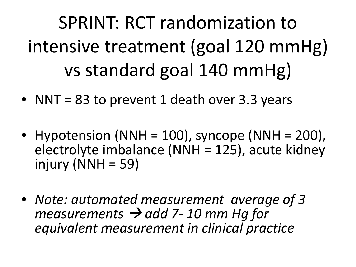SPRINT: RCT randomization to intensive treatment (goal 120 mmHg) vs standard goal 140 mmHg)

- NNT = 83 to prevent 1 death over 3.3 years
- Hypotension (NNH = 100), syncope (NNH = 200), electrolyte imbalance (NNH = 125), acute kidney injury ( $NNH = 59$ )
- *Note: automated measurement average of 3 measurements*  $\rightarrow$  *add 7-10 mm Hg for equivalent measurement in clinical practice*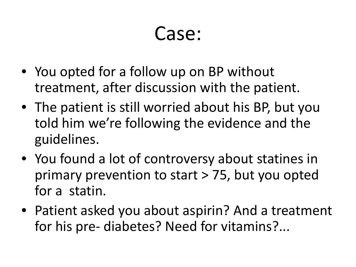#### Case:

- You opted for a follow up on BP without treatment, after discussion with the patient.
- The patient is still worried about his BP, but you told him we're following the evidence and the guidelines.
- You found a lot of controversy about statines in primary prevention to start > 75, but you opted for a statin.
- Patient asked you about aspirin? And a treatment for his pre- diabetes? Need for vitamins?...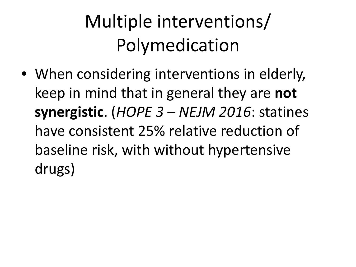### Multiple interventions/ Polymedication

• When considering interventions in elderly, keep in mind that in general they are **not synergistic**. (*HOPE 3 – NEJM 2016*: statines have consistent 25% relative reduction of baseline risk, with without hypertensive drugs)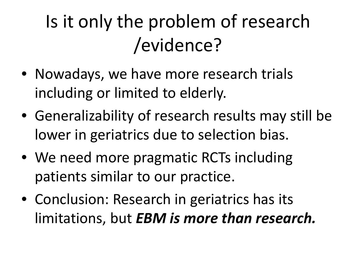### Is it only the problem of research /evidence?

- Nowadays, we have more research trials including or limited to elderly.
- Generalizability of research results may still be lower in geriatrics due to selection bias.
- We need more pragmatic RCTs including patients similar to our practice.
- Conclusion: Research in geriatrics has its limitations, but *EBM is more than research.*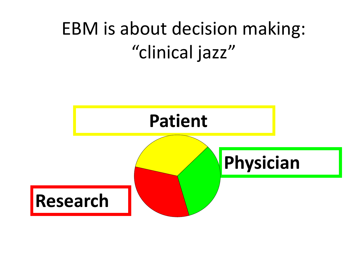#### EBM is about decision making: "clinical jazz"

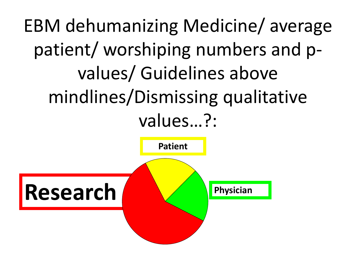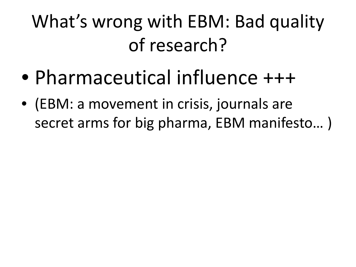### What's wrong with EBM: Bad quality of research?

- Pharmaceutical influence +++
- (EBM: a movement in crisis, journals are secret arms for big pharma, EBM manifesto… )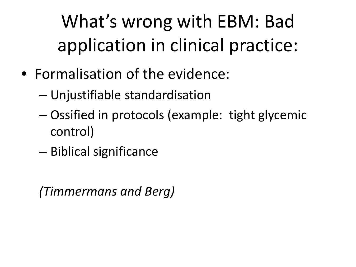What's wrong with EBM: Bad application in clinical practice:

- Formalisation of the evidence:
	- Unjustifiable standardisation
	- Ossified in protocols (example: tight glycemic control)
	- Biblical significance

*(Timmermans and Berg)*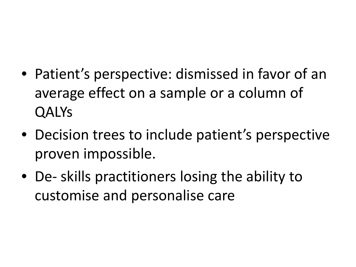- Patient's perspective: dismissed in favor of an average effect on a sample or a column of QALYs
- Decision trees to include patient's perspective proven impossible.
- De- skills practitioners losing the ability to customise and personalise care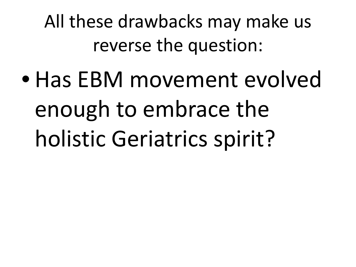All these drawbacks may make us reverse the question:

• Has EBM movement evolved enough to embrace the holistic Geriatrics spirit?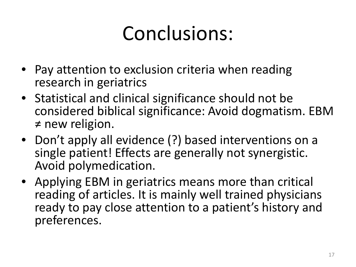# Conclusions:

- Pay attention to exclusion criteria when reading research in geriatrics
- Statistical and clinical significance should not be considered biblical significance: Avoid dogmatism. EBM ≠ new religion.
- Don't apply all evidence (?) based interventions on a single patient! Effects are generally not synergistic. Avoid polymedication.
- Applying EBM in geriatrics means more than critical reading of articles. It is mainly well trained physicians ready to pay close attention to a patient's history and preferences.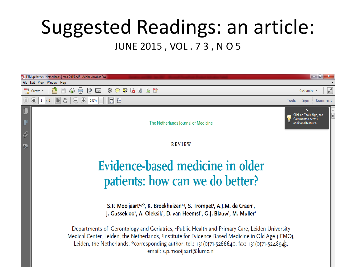#### Suggested Readings: an article: JUNE 2015 , VOL . 7 3 , N O 5